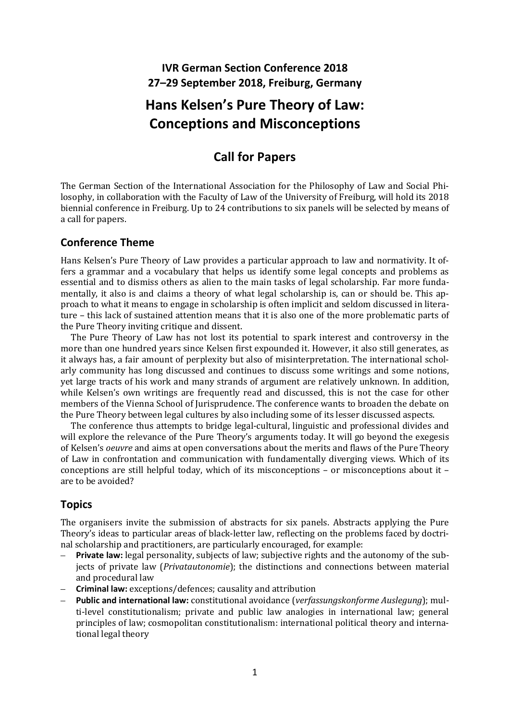# **IVR German Section Conference 2018 27–29 September 2018, Freiburg, Germany**

# **Hans Kelsen's Pure Theory of Law: Conceptions and Misconceptions**

# **Call for Papers**

The German Section of the International Association for the Philosophy of Law and Social Philosophy, in collaboration with the Faculty of Law of the University of Freiburg, will hold its 2018 biennial conference in Freiburg. Up to 24 contributions to six panels will be selected by means of a call for papers.

#### **Conference Theme**

Hans Kelsen's Pure Theory of Law provides a particular approach to law and normativity. It offers a grammar and a vocabulary that helps us identify some legal concepts and problems as essential and to dismiss others as alien to the main tasks of legal scholarship. Far more fundamentally, it also is and claims a theory of what legal scholarship is, can or should be. This approach to what it means to engage in scholarship is often implicit and seldom discussed in literature – this lack of sustained attention means that it is also one of the more problematic parts of the Pure Theory inviting critique and dissent.

The Pure Theory of Law has not lost its potential to spark interest and controversy in the more than one hundred years since Kelsen first expounded it. However, it also still generates, as it always has, a fair amount of perplexity but also of misinterpretation. The international scholarly community has long discussed and continues to discuss some writings and some notions, yet large tracts of his work and many strands of argument are relatively unknown. In addition, while Kelsen's own writings are frequently read and discussed, this is not the case for other members of the Vienna School of Jurisprudence. The conference wants to broaden the debate on the Pure Theory between legal cultures by also including some of its lesser discussed aspects.

The conference thus attempts to bridge legal-cultural, linguistic and professional divides and will explore the relevance of the Pure Theory's arguments today. It will go beyond the exegesis of Kelsen's *oeuvre* and aims at open conversations about the merits and flaws of the Pure Theory of Law in confrontation and communication with fundamentally diverging views. Which of its conceptions are still helpful today, which of its misconceptions – or misconceptions about it – are to be avoided?

# **Topics**

The organisers invite the submission of abstracts for six panels. Abstracts applying the Pure Theory's ideas to particular areas of black-letter law, reflecting on the problems faced by doctrinal scholarship and practitioners, are particularly encouraged, for example:

- **Private law:** legal personality, subjects of law; subjective rights and the autonomy of the subjects of private law (*Privatautonomie*); the distinctions and connections between material and procedural law
- **Criminal law:** exceptions/defences; causality and attribution
- **Public and international law:** constitutional avoidance (*verfassungskonforme Auslegung*); multi-level constitutionalism; private and public law analogies in international law; general principles of law; cosmopolitan constitutionalism: international political theory and international legal theory